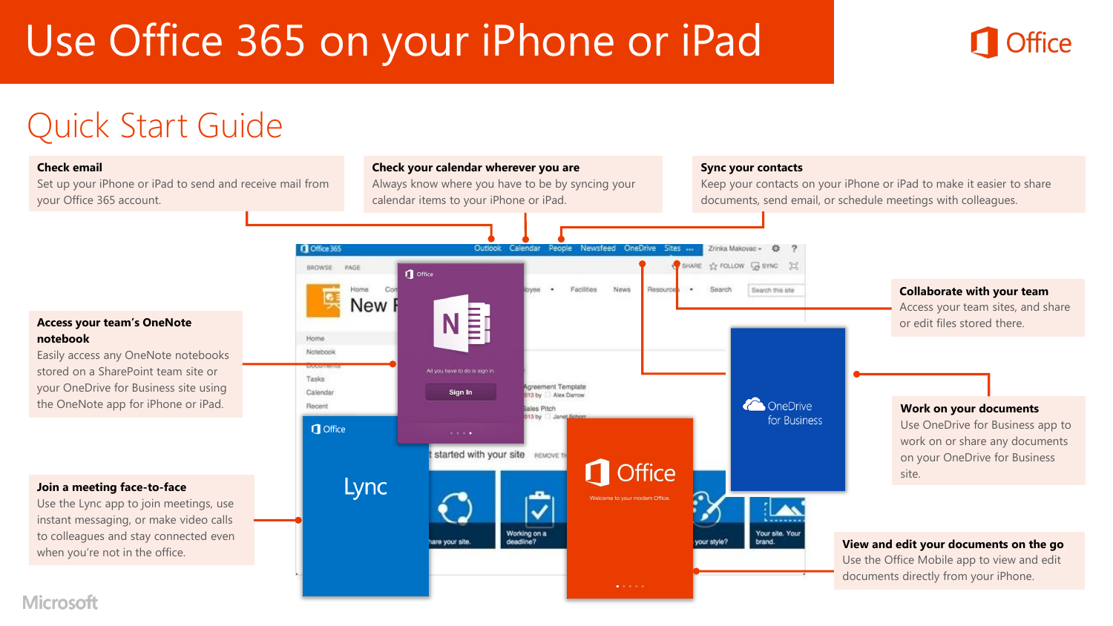# Use Office 365 on your iPhone or iPad



## Quick Start Guide

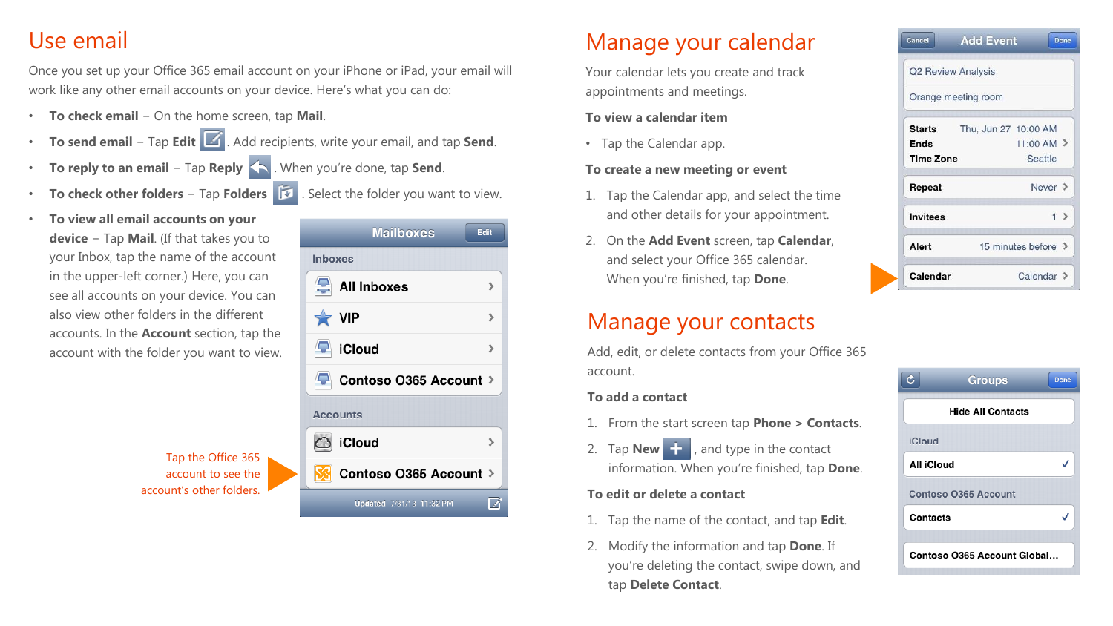### Use email

Once you set up your Office 365 email account on your iPhone or iPad, your email will work like any other email accounts on your device. Here's what you can do:

- **To check email** − On the home screen, tap **Mail**.
- **To send email** − Tap **Edit** . Add recipients, write your email, and tap **Send**.
- **To reply to an email** − Tap **Reply** . When you're done, tap **Send**.
- **To check other folders** − Tap **Folders** . Select the folder you want to view.
- **To view all email accounts on your device** − Tap **Mail**. (If that takes you to your Inbox, tap the name of the account in the upper-left corner.) Here, you can see all accounts on your device. You can also view other folders in the different accounts. In the **Account** section, tap the account with the folder you want to view.



Tap the Office 365 account to see the account's other folders.

### Manage your calendar

Your calendar lets you create and track appointments and meetings.

#### **To view a calendar item**

• Tap the Calendar app.

#### **To create a new meeting or event**

- 1. Tap the Calendar app, and select the time and other details for your appointment.
- 2. On the **Add Event** screen, tap **Calendar**, and select your Office 365 calendar. When you're finished, tap **Done**.

### Manage your contacts

Add, edit, or delete contacts from your Office 365 account.

#### **To add a contact**

- 1. From the start screen tap **Phone > Contacts**.
- 2. Tap **New**  $\frac{1}{2}$ , and type in the contact information. When you're finished, tap **Done**.

#### **To edit or delete a contact**

- 1. Tap the name of the contact, and tap **Edit**.
- 2. Modify the information and tap **Done**. If you're deleting the contact, swipe down, and tap **Delete Contact**.

| Cancel           | <b>Add Event</b>        | Done              |
|------------------|-------------------------|-------------------|
|                  | Q2 Review Analysis      |                   |
|                  | Orange meeting room     |                   |
| Starts           | Thu, Jun 27 10:00 AM    |                   |
| Ends             |                         | $11:00$ AM $\geq$ |
| <b>Time Zone</b> |                         | Seattle           |
| Repeat           |                         | Never $\ge$       |
| <b>Invitees</b>  |                         | 1 >               |
| Alert            | 15 minutes before $\ge$ |                   |
| Calendar         |                         | Calendar $\geq$   |

|                             | <b>Groups</b>            | Done |
|-----------------------------|--------------------------|------|
|                             | <b>Hide All Contacts</b> |      |
| <b>iCloud</b>               |                          |      |
| All iCloud                  |                          |      |
|                             | Contoso 0365 Account     |      |
| Contacts                    |                          |      |
| Contoso 0365 Account Global |                          |      |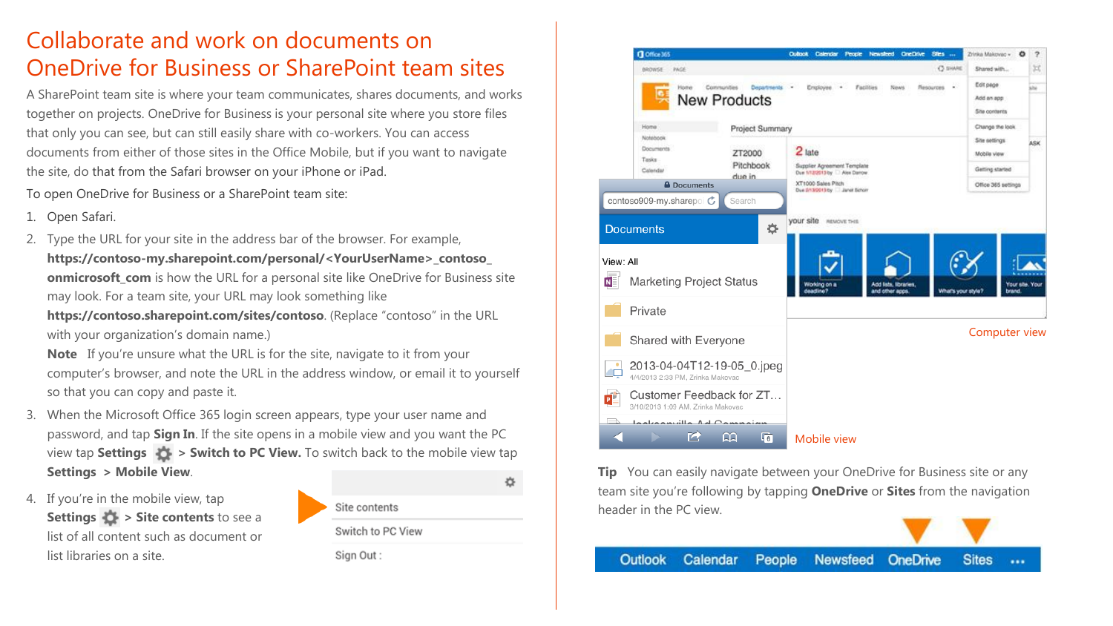### Collaborate and work on documents on OneDrive for Business or SharePoint team sites

A SharePoint team site is where your team communicates, shares documents, and works together on projects. OneDrive for Business is your personal site where you store files that only you can see, but can still easily share with co-workers. You can access documents from either of those sites in the Office Mobile, but if you want to navigate the site, do that from the Safari browser on your iPhone or iPad.

To open OneDrive for Business or a SharePoint team site:

- 1. Open Safari.
- 2. Type the URL for your site in the address bar of the browser. For example, **https://contoso-my.sharepoint.com/personal/<YourUserName>\_contoso\_ onmicrosoft com** is how the URL for a personal site like OneDrive for Business site may look. For a team site, your URL may look something like

**https://contoso.sharepoint.com/sites/contoso**. (Replace "contoso" in the URL with your organization's domain name.)

**Note** If you're unsure what the URL is for the site, navigate to it from your computer's browser, and note the URL in the address window, or email it to yourself so that you can copy and paste it.

- 3. When the Microsoft Office 365 login screen appears, type your user name and password, and tap **Sign In**. If the site opens in a mobile view and you want the PC view tap **Settings > Switch to PC View.** To switch back to the mobile view tap **Settings > Mobile View**. 娄
- 4. If you're in the mobile view, tap **Settings**  $\bullet$  **> Site contents** to see a list of all content such as document or list libraries on a site.



Switch to PC View Sign Out:



**Tip** You can easily navigate between your OneDrive for Business site or any team site you're following by tapping **OneDrive** or **Sites** from the navigation header in the PC view.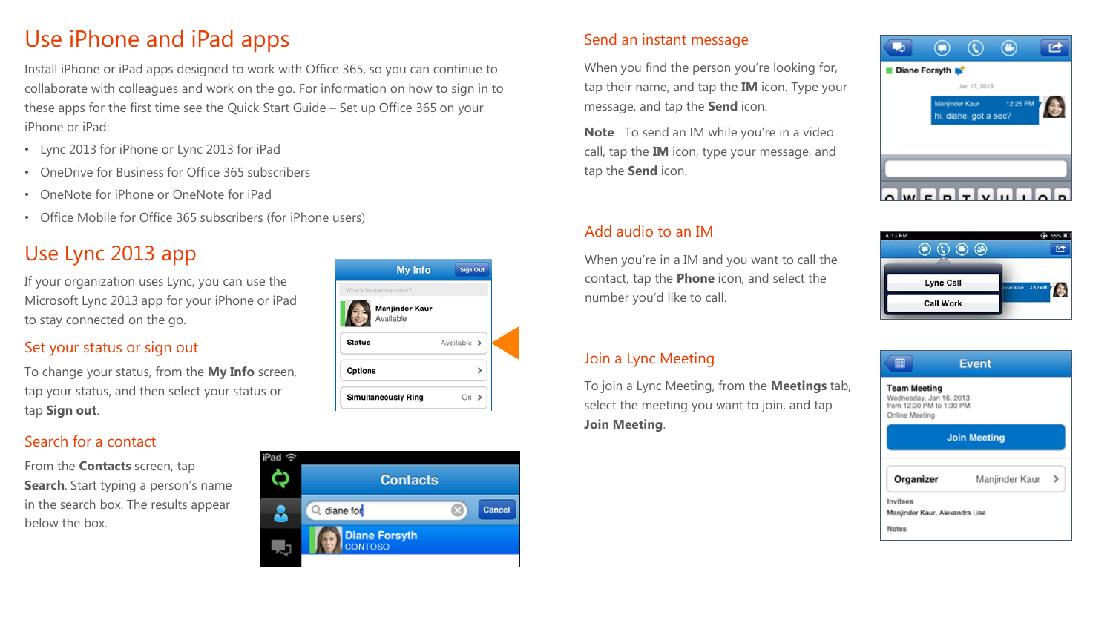### Use iPhone and iPad apps

Install iPhone or iPad apps designed to work with Office 365, so you can continue to collaborate with colleagues and work on the go. For information on how to sign in to these apps for the first time see the Quick Start Guide – Set up Office 365 on your iPhone or iPad:

- Lync 2013 for iPhone or Lync 2013 for iPad
- OneDrive for Business for Office 365 subscribers
- OneNote for iPhone or OneNote for iPad
- Office Mobile for Office 365 subscribers (for iPhone users)

### Use Lync 2013 app

If your organization uses Lync, you can use the Microsoft Lync 2013 app for your iPhone or iPad to stay connected on the go.

### Set your status or sign out

To change your status, from the **My Info** screen, tap your status, and then select your status or tap **Sign out**.

### Search for a contact

From the **Contacts** screen, tap **Search**. Start typing a person's name in the search box. The results appear below the box.



#### Send an instant message

When you find the person you're looking for, tap their name, and tap the **IM** icon. Type your message, and tap the **Send** icon.

**Note** To send an IM while you're in a video call, tap the **IM** icon, type your message, and tap the **Send** icon.

### Add audio to an IM

When you're in a IM and you want to call the contact, tap the **Phone** icon, and select the number you'd like to call.

#### Join a Lync Meeting

To join a Lync Meeting, from the **Meetings** tab, select the meeting you want to join, and tap **Join Meeting**.





| <b>Event</b><br>≡¤<br><b>Team Meeting</b><br>Wednesday, Jan 16, 2013<br>from 12:30 PM to 1:30 PM<br>Online Meeting |                     |  |  |  |
|--------------------------------------------------------------------------------------------------------------------|---------------------|--|--|--|
|                                                                                                                    | <b>Join Meeting</b> |  |  |  |
| Organizer                                                                                                          | Manjinder Kaur      |  |  |  |
| Invitees<br>Manjinder Kaur, Alexandra Lise                                                                         |                     |  |  |  |
|                                                                                                                    |                     |  |  |  |

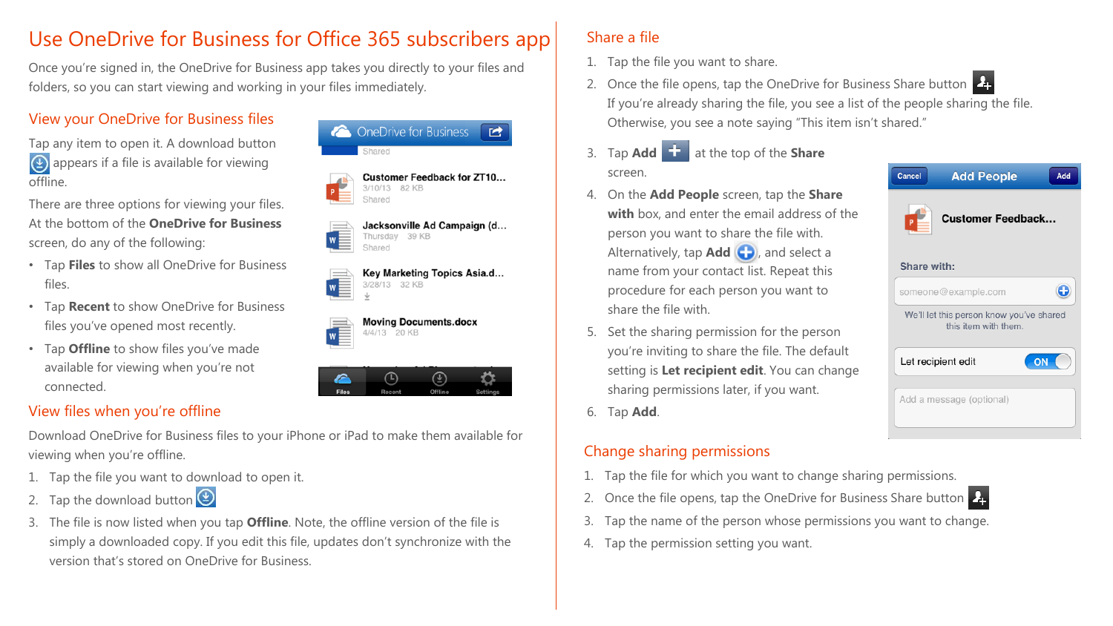### Use OneDrive for Business for Office 365 subscribers app

Once you're signed in, the OneDrive for Business app takes you directly to your files and folders, so you can start viewing and working in your files immediately.

### View your OneDrive for Business files

Tap any item to open it. A download button **4** appears if a file is available for viewing offline.

There are three options for viewing your files. At the bottom of the **OneDrive for Business**  screen, do any of the following:

- Tap **Files** to show all OneDrive for Business files.
- Tap **Recent** to show OneDrive for Business files you've opened most recently.
- Tap **Offline** to show files you've made available for viewing when you're not connected.

### View files when you're offline

Download OneDrive for Business files to your iPhone or iPad to make them available for viewing when you're offline.

- 1. Tap the file you want to download to open it.
- 2. Tap the download button
- 3. The file is now listed when you tap **Offline**. Note, the offline version of the file is simply a downloaded copy. If you edit this file, updates don't synchronize with the version that's stored on OneDrive for Business.



Jacksonville Ad Campaign (d... Thursday 39 KB Shared

 $\mathbf{r}$ 

| ≙  |               |  | Key Marketing Topics Asia.d |
|----|---------------|--|-----------------------------|
| Ξ. | 3/28/13 32 KB |  |                             |
|    |               |  |                             |

**Moving Documents.docx** 4/4/13 20 KB



### Share a file

- 1. Tap the file you want to share.
- 2. Once the file opens, tap the OneDrive for Business Share button If you're already sharing the file, you see a list of the people sharing the file. Otherwise, you see a note saying "This item isn't shared."
- 3. Tap **Add** at the top of the **Share**  screen.
- 4. On the **Add People** screen, tap the **Share with** box, and enter the email address of the person you want to share the file with. Alternatively, tap **Add ,** and select a name from your contact list. Repeat this procedure for each person you want to share the file with.
- 5. Set the sharing permission for the person you're inviting to share the file. The default setting is **Let recipient edit**. You can change sharing permissions later, if you want.
- 6. Tap **Add**.

### Change sharing permissions



- 1. Tap the file for which you want to change sharing permissions.
- 2. Once the file opens, tap the OneDrive for Business Share button
- 3. Tap the name of the person whose permissions you want to change.
- 4. Tap the permission setting you want.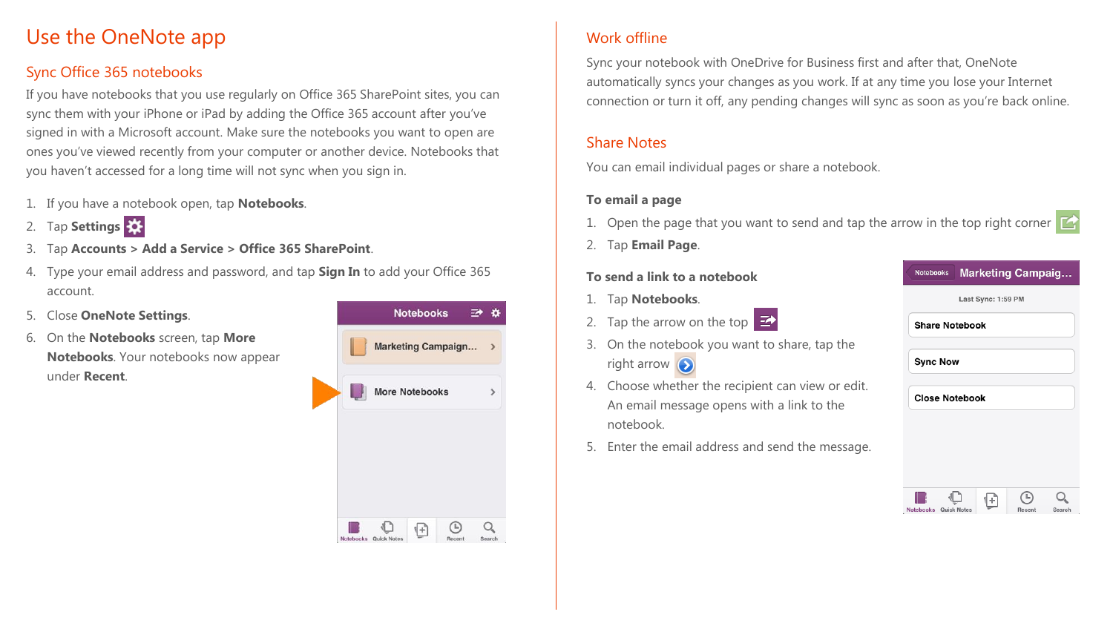### Use the OneNote app

### Sync Office 365 notebooks

If you have notebooks that you use regularly on Office 365 SharePoint sites, you can sync them with your iPhone or iPad by adding the Office 365 account after you've signed in with a Microsoft account. Make sure the notebooks you want to open are ones you've viewed recently from your computer or another device. Notebooks that you haven't accessed for a long time will not sync when you sign in.

- 1. If you have a notebook open, tap **Notebooks**.
- 2. Tap **Settings**
- 3. Tap **Accounts > Add a Service > Office 365 SharePoint**.
- 4. Type your email address and password, and tap **Sign In** to add your Office 365 account.
- 5. Close **OneNote Settings**.
- 6. On the **Notebooks** screen, tap **More Notebooks**. Your notebooks now appear under **Recent**.



### Work offline

Sync your notebook with OneDrive for Business first and after that, OneNote automatically syncs your changes as you work. If at any time you lose your Internet connection or turn it off, any pending changes will sync as soon as you're back online.

#### Share Notes

You can email individual pages or share a notebook.

#### **To email a page**

- 1. Open the page that you want to send and tap the arrow in the top right corner  $\mathbb{Z}$
- 2. Tap **Email Page**.

#### **To send a link to a notebook**

- 1. Tap **Notebooks**.
- 2. Tap the arrow on the top  $\mathbf{Z}$
- 3. On the notebook you want to share, tap the right arrow  $\left( \bullet \right)$
- 4. Choose whether the recipient can view or edit. An email message opens with a link to the notebook.
- 5. Enter the email address and send the message.

| <b>Notebooks</b>      | <b>Marketing Campaig</b> |  |
|-----------------------|--------------------------|--|
|                       | Last Sync: 1:59 PM       |  |
| <b>Share Notebook</b> |                          |  |
| <b>Sync Now</b>       |                          |  |
| <b>Close Notebook</b> |                          |  |
|                       |                          |  |
|                       |                          |  |
|                       |                          |  |
|                       |                          |  |

Notebooks Quick Notes